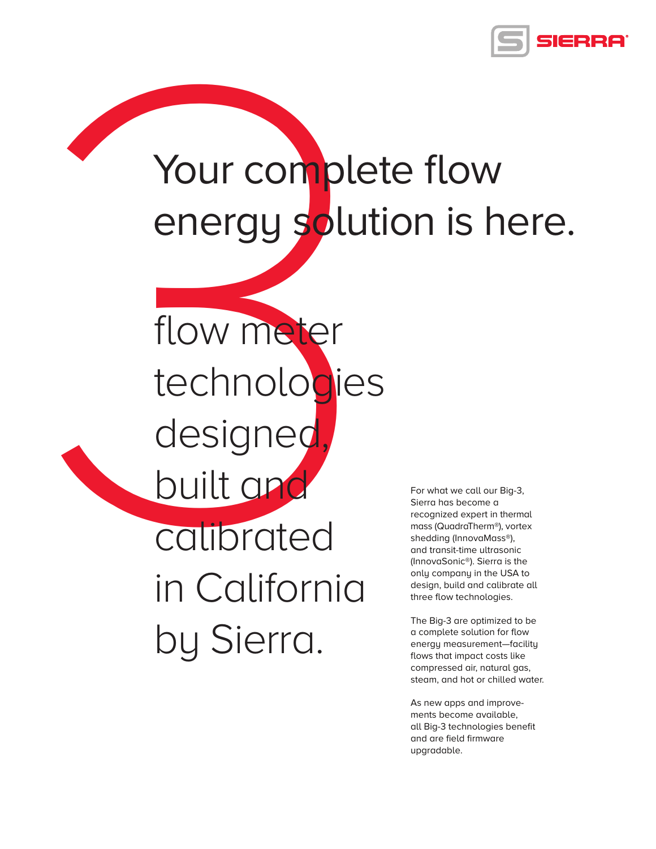

# Your complete flow energy solution is here.

Your comple<br>
energy solut<br>
flow meter<br>
technologies<br>
designed<br>
built and<br>
calibrated<br>
in California<br>
by Sierra. technologies designed built and calibrated in California by Sierra.

flow meter

For what we call our Big-3, Sierra has become a recognized expert in thermal mass (QuadraTherm®), vortex shedding (InnovaMass®), and transit-time ultrasonic (InnovaSonic®). Sierra is the only company in the USA to design, build and calibrate all three flow technologies.

The Big-3 are optimized to be a complete solution for flow energy measurement—facility flows that impact costs like compressed air, natural gas, steam, and hot or chilled water.

As new apps and improvements become available, all Big-3 technologies benefit and are field firmware upgradable.